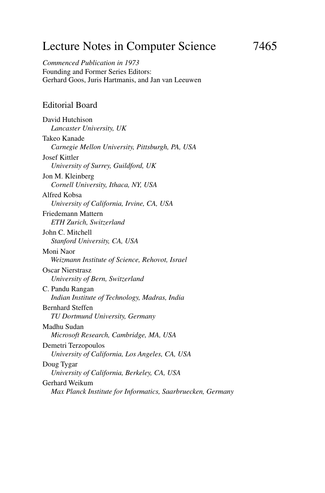# Lecture Notes in Computer Science 7465

*Commenced Publication in 1973* Founding and Former Series Editors: Gerhard Goos, Juris Hartmanis, and Jan van Leeuwen

### Editorial Board

David Hutchison *Lancaster University, UK* Takeo Kanade *Carnegie Mellon University, Pittsburgh, PA, USA* Josef Kittler *University of Surrey, Guildford, UK* Jon M. Kleinberg *Cornell University, Ithaca, NY, USA* Alfred Kobsa *University of California, Irvine, CA, USA* Friedemann Mattern *ETH Zurich, Switzerland* John C. Mitchell *Stanford University, CA, USA* Moni Naor *Weizmann Institute of Science, Rehovot, Israel* Oscar Nierstrasz *University of Bern, Switzerland* C. Pandu Rangan *Indian Institute of Technology, Madras, India* Bernhard Steffen *TU Dortmund University, Germany* Madhu Sudan *Microsoft Research, Cambridge, MA, USA* Demetri Terzopoulos *University of California, Los Angeles, CA, USA* Doug Tygar *University of California, Berkeley, CA, USA* Gerhard Weikum *Max Planck Institute for Informatics, Saarbruecken, Germany*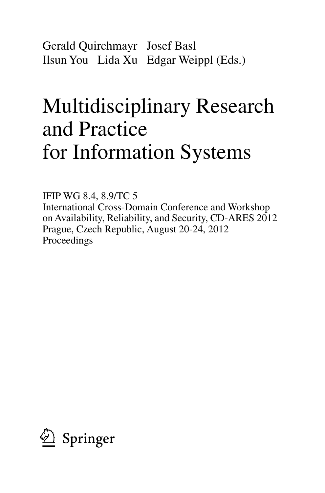Gerald Quirchmayr Josef Basl Ilsun You Lida Xu Edgar Weippl (Eds.)

# Multidisciplinary Research and Practice for Information Systems

IFIP WG 8.4, 8.9/TC 5 International Cross-Domain Conference and Workshop on Availability, Reliability, and Security, CD-ARES 2012 Prague, Czech Republic, August 20-24, 2012 Proceedings

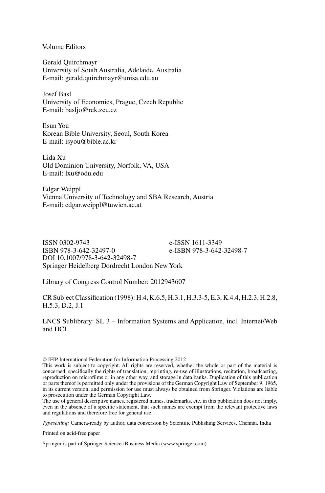Volume Editors

Gerald Quirchmayr University of South Australia, Adelaide, Australia E-mail: gerald.quirchmayr@unisa.edu.au

Josef Basl University of Economics, Prague, Czech Republic E-mail: basljo@rek.zcu.cz

Ilsun You Korean Bible University, Seoul, South Korea E-mail: isyou@bible.ac.kr

Lida Xu Old Dominion University, Norfolk, VA, USA E-mail: lxu@odu.edu

Edgar Weippl Vienna University of Technology and SBA Research, Austria E-mail: edgar.weippl@tuwien.ac.at

ISSN 0302-9743 e-ISSN 1611-3349 e-ISBN 978-3-642-32498-7 DOI 10.1007/978-3-642-32498-7 Springer Heidelberg Dordrecht London New York

Library of Congress Control Number: 2012943607

CR Subject Classification (1998): H.4, K.6.5, H.3.1, H.3.3-5, E.3, K.4.4, H.2.3, H.2.8, H.5.3, D.2, J.1

LNCS Sublibrary: SL 3 – Information Systems and Application, incl. Internet/Web and HCI

© IFIP International Federation for Information Processing 2012

The use of general descriptive names, registered names, trademarks, etc. in this publication does not imply, even in the absence of a specific statement, that such names are exempt from the relevant protective laws and regulations and therefore free for general use.

*Typesetting:* Camera-ready by author, data conversion by Scientific Publishing Services, Chennai, India

Printed on acid-free paper

Springer is part of Springer Science+Business Media (www.springer.com)

This work is subject to copyright. All rights are reserved, whether the whole or part of the material is concerned, specifically the rights of translation, reprinting, re-use of illustrations, recitation, broadcasting, reproduction on microfilms or in any other way, and storage in data banks. Duplication of this publication or parts thereof is permitted only under the provisions of the German Copyright Law of September 9, 1965, in its current version, and permission for use must always be obtained from Springer. Violations are liable to prosecution under the German Copyright Law.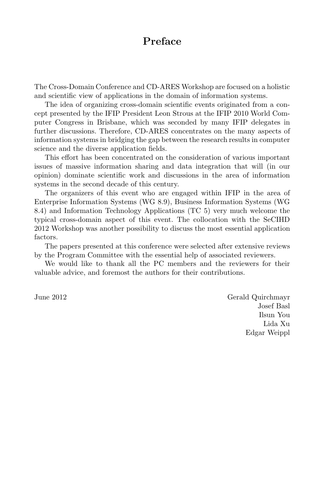# **Preface**

The Cross-Domain Conference and CD-ARES Workshop are focused on a holistic and scientific view of applications in the domain of information systems.

The idea of organizing cross-domain scientific events originated from a concept presented by the IFIP President Leon Strous at the IFIP 2010 World Computer Congress in Brisbane, which was seconded by many IFIP delegates in further discussions. Therefore, CD-ARES concentrates on the many aspects of information systems in bridging the gap between the research results in computer science and the diverse application fields.

This effort has been concentrated on the consideration of various important issues of massive information sharing and data integration that will (in our opinion) dominate scientific work and discussions in the area of information systems in the second decade of this century.

The organizers of this event who are engaged within IFIP in the area of Enterprise Information Systems (WG 8.9), Business Information Systems (WG 8.4) and Information Technology Applications (TC 5) very much welcome the typical cross-domain aspect of this event. The collocation with the SeCIHD 2012 Workshop was another possibility to discuss the most essential application factors.

The papers presented at this conference were selected after extensive reviews by the Program Committee with the essential help of associated reviewers.

We would like to thank all the PC members and the reviewers for their valuable advice, and foremost the authors for their contributions.

June 2012 Gerald Quirchmayr Josef Basl Ilsun You Lida Xu Edgar Weippl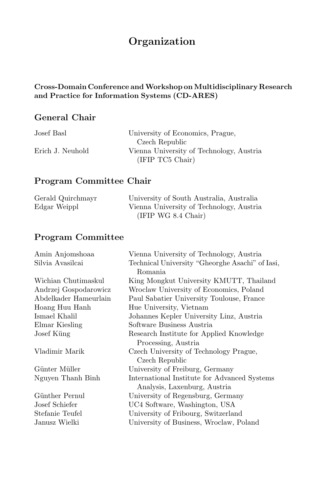# **Organization**

### **Cross-Domain Conference andWorkshop onMultidisciplinary Research and Practice for Information Systems (CD-ARES)**

# **General Chair**

| Josef Basl       | University of Economics, Prague,         |
|------------------|------------------------------------------|
|                  | Czech Republic                           |
| Erich J. Neuhold | Vienna University of Technology, Austria |
|                  | (IFIP TC5 Chair)                         |

## **Program Committee Chair**

| Gerald Quirchmayr | University of South Australia, Australia |
|-------------------|------------------------------------------|
| Edgar Weippl      | Vienna University of Technology, Austria |
|                   | (IFIP WG 8.4 Chair)                      |

# **Program Committee**

| Amin Anjomshoaa       | Vienna University of Technology, Austria        |
|-----------------------|-------------------------------------------------|
| Silvia Avasilcai      | Technical University "Gheorghe Asachi" of Iasi, |
|                       | <b>Romania</b>                                  |
| Wichian Chutimaskul   | King Mongkut University KMUTT, Thailand         |
| Andrzej Gospodarowicz | Wroclaw University of Economics, Poland         |
| Abdelkader Hameurlain | Paul Sabatier University Toulouse, France       |
| Hoang Huu Hanh        | Hue University, Vietnam                         |
| Ismael Khalil         | Johannes Kepler University Linz, Austria        |
| Elmar Kiesling        | Software Business Austria                       |
| Josef Küng            | Research Institute for Applied Knowledge        |
|                       | Processing, Austria                             |
| Vladimir Marik        | Czech University of Technology Prague,          |
|                       | Czech Republic                                  |
| Günter Müller         | University of Freiburg, Germany                 |
| Nguyen Thanh Binh     | International Institute for Advanced Systems    |
|                       | Analysis, Laxenburg, Austria                    |
| Günther Pernul        | University of Regensburg, Germany               |
| Josef Schiefer        | UC4 Software, Washington, USA                   |
| Stefanie Teufel       | University of Fribourg, Switzerland             |
| Janusz Wielki         | University of Business, Wroclaw, Poland         |
|                       |                                                 |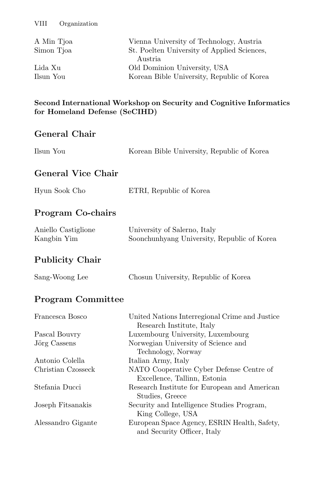| A Min Tjoa | Vienna University of Technology, Austria    |
|------------|---------------------------------------------|
| Simon Tjoa | St. Poelten University of Applied Sciences, |
|            | Austria                                     |
| Lida Xu    | Old Dominion University, USA                |
| Ilsun You  | Korean Bible University, Republic of Korea  |

**Second International Workshop on Security and Cognitive Informatics for Homeland Defense (SeCIHD)**

### **General Chair**

| Ilsun You                          | Korean Bible University, Republic of Korea                                  |
|------------------------------------|-----------------------------------------------------------------------------|
| <b>General Vice Chair</b>          |                                                                             |
| Hyun Sook Cho                      | ETRI, Republic of Korea                                                     |
| <b>Program Co-chairs</b>           |                                                                             |
| Aniello Castiglione<br>Kangbin Yim | University of Salerno, Italy<br>Soonchunhyang University, Republic of Korea |
| <b>Publicity Chair</b>             |                                                                             |
| Sang-Woong Lee                     | Chosun University, Republic of Korea                                        |
| <b>Program Committee</b>           |                                                                             |
| Francesca Bosco                    | United Nations Interregional Crime and Justice<br>Research Institute, Italy |
| Pascal Bouvry                      | Luxembourg University, Luxembourg                                           |
| Jörg Cassens                       | Norwegian University of Science and<br>Technology, Norway                   |
| Antonio Colella                    | Italian Army, Italy                                                         |
| Christian Czosseck                 | NATO Cooperative Cyber Defense Centre of<br>Excellence, Tallinn, Estonia    |

Stefania Ducci Research Institute for European and American Studies, Greece Joseph Fitsanakis Security and Intelligence Studies Program,

King College, USA Alessandro Gigante European Space Agency, ESRIN Health, Safety,

and Security Officer, Italy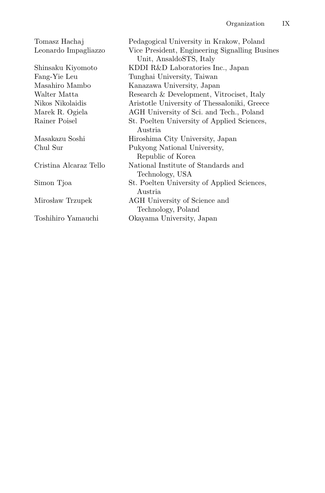| Tomasz Hachaj          | Pedagogical University in Krakow, Poland       |
|------------------------|------------------------------------------------|
| Leonardo Impagliazzo   | Vice President, Engineering Signalling Busines |
|                        | Unit, AnsaldoSTS, Italy                        |
| Shinsaku Kiyomoto      | KDDI R&D Laboratories Inc., Japan              |
| Fang-Yie Leu           | Tunghai University, Taiwan                     |
| Masahiro Mambo         | Kanazawa University, Japan                     |
| Walter Matta           | Research & Development, Vitrociset, Italy      |
| Nikos Nikolaidis       | Aristotle University of Thessaloniki, Greece   |
| Marek R. Ogiela        | AGH University of Sci. and Tech., Poland       |
| Rainer Poisel          | St. Poelten University of Applied Sciences,    |
|                        | Austria.                                       |
| Masakazu Soshi         | Hiroshima City University, Japan               |
| Chul Sur               | Pukyong National University,                   |
|                        | Republic of Korea                              |
| Cristina Alcaraz Tello | National Institute of Standards and            |
|                        | Technology, USA                                |
| Simon Tjoa             | St. Poelten University of Applied Sciences,    |
|                        | Austria.                                       |
| Mirosław Trzupek       | AGH University of Science and                  |
|                        | Technology, Poland                             |
| Toshihiro Yamauchi     | Okayama University, Japan                      |
|                        |                                                |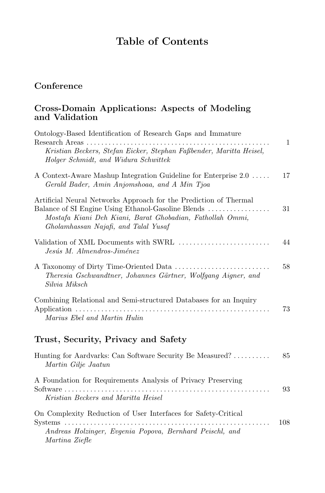# **Table of Contents**

# **Conference**

#### **Cross-Domain Applications: Aspects of Modeling and Validation**

| Ontology-Based Identification of Research Gaps and Immature                                                                                                                                                                  |     |
|------------------------------------------------------------------------------------------------------------------------------------------------------------------------------------------------------------------------------|-----|
| Research Areas<br>Kristian Beckers, Stefan Eicker, Stephan Faßbender, Maritta Heisel,<br>Holger Schmidt, and Widura Schwittek                                                                                                | 1   |
| A Context-Aware Mashup Integration Guideline for Enterprise 2.0<br>Gerald Bader, Amin Anjomshoaa, and A Min Tjoa                                                                                                             | 17  |
| Artificial Neural Networks Approach for the Prediction of Thermal<br>Balance of SI Engine Using Ethanol-Gasoline Blends<br>Mostafa Kiani Deh Kiani, Barat Ghobadian, Fathollah Ommi,<br>Gholamhassan Najafi, and Talal Yusaf | 31  |
| Validation of XML Documents with SWRL<br>Jesús M. Almendros-Jiménez                                                                                                                                                          | 44  |
| Theresia Gschwandtner, Johannes Gärtner, Wolfgang Aigner, and<br>Silvia Miksch                                                                                                                                               | 58  |
| Combining Relational and Semi-structured Databases for an Inquiry<br>Marius Ebel and Martin Hulin                                                                                                                            | 73  |
| Trust, Security, Privacy and Safety                                                                                                                                                                                          |     |
| Hunting for Aardvarks: Can Software Security Be Measured?<br>Martin Gilje Jaatun                                                                                                                                             | 85  |
| A Foundation for Requirements Analysis of Privacy Preserving<br>Software $\dots\dots\dots\dots\dots\dots\dots\dots\dots$<br>Kristian Beckers and Maritta Heisel                                                              | 93  |
| On Complexity Reduction of User Interfaces for Safety-Critical                                                                                                                                                               |     |
| $S$ ystems $\dots\dots\dots$<br>Andreas Holzinger, Evgenia Popova, Bernhard Peischl, and<br>Martina Ziefle                                                                                                                   | 108 |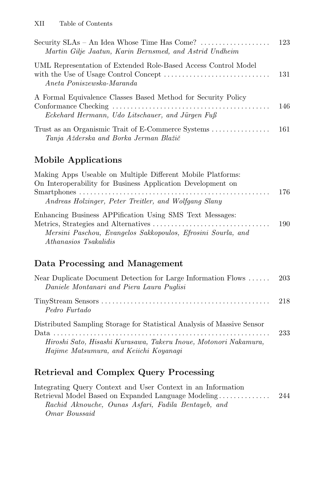| Security $SLAs - An$ Idea Whose Time Has Come? $\ldots \ldots \ldots \ldots$<br>Martin Gilje Jaatun, Karin Bernsmed, and Astrid Undheim | 123 |
|-----------------------------------------------------------------------------------------------------------------------------------------|-----|
| UML Representation of Extended Role-Based Access Control Model<br>Aneta Poniszewska-Maranda                                             |     |
| A Formal Equivalence Classes Based Method for Security Policy<br>Eckehard Hermann, Udo Litschauer, and Jürgen Fuß                       | 146 |
| Tanja Ažderska and Borka Jerman Blažič                                                                                                  |     |

# **Mobile Applications**

| Making Apps Useable on Multiple Different Mobile Platforms:  |     |
|--------------------------------------------------------------|-----|
| On Interoperability for Business Application Development on  |     |
|                                                              | 176 |
| Andreas Holzinger, Peter Treitler, and Wolfgang Slany        |     |
| Enhancing Business APPification Using SMS Text Messages:     |     |
|                                                              | 190 |
| Mersini Paschou, Evangelos Sakkopoulos, Efrosini Sourla, and |     |
| Athanasios Tsakalidis                                        |     |
|                                                              |     |

# **Data Processing and Management**

| Near Duplicate Document Detection for Large Information Flows  203<br>Daniele Montanari and Piera Laura Puglisi                                                                       |     |
|---------------------------------------------------------------------------------------------------------------------------------------------------------------------------------------|-----|
| Pedro Furtado                                                                                                                                                                         |     |
| Distributed Sampling Storage for Statistical Analysis of Massive Sensor<br>Hiroshi Sato, Hisashi Kurasawa, Takeru Inoue, Motonori Nakamura,<br>Hajime Matsumura, and Keiichi Koyanagi | 233 |

# **Retrieval and Complex Query Processing**

| Integrating Query Context and User Context in an Information |      |
|--------------------------------------------------------------|------|
| Retrieval Model Based on Expanded Language Modeling          | -244 |
| Rachid Aknouche, Ounas Asfari, Fadila Bentayeb, and          |      |
| Omar Boussaid                                                |      |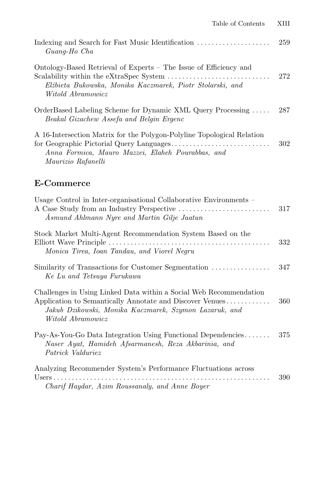| Guang-Ho Cha                                                                                                                                        | 259 |
|-----------------------------------------------------------------------------------------------------------------------------------------------------|-----|
| Ontology-Based Retrieval of Experts – The Issue of Efficiency and<br>Elżbieta Bukowska, Monika Kaczmarek, Piotr Stolarski, and<br>Witold Abramowicz | 272 |
| OrderBased Labeling Scheme for Dynamic XML Query Processing<br>Beakal Gizachew Assefa and Belgin Ergenc                                             | 287 |
| A 16-Intersection Matrix for the Polygon-Polyline Topological Relation<br>Anna Formica, Mauro Mazzei, Elaheh Pourabbas, and<br>Maurizio Rafanelli   | 302 |

## **E-Commerce**

| Usage Control in Inter-organisational Collaborative Environments –<br>Asmund Ahlmann Nyre and Martin Gilje Jaatun                                                                                             | 317 |
|---------------------------------------------------------------------------------------------------------------------------------------------------------------------------------------------------------------|-----|
| Stock Market Multi-Agent Recommendation System Based on the<br>Monica Tirea, Ioan Tandau, and Viorel Negru                                                                                                    | 332 |
| Similarity of Transactions for Customer Segmentation<br>Ke Lu and Tetsuya Furukawa                                                                                                                            | 347 |
| Challenges in Using Linked Data within a Social Web Recommendation<br>Application to Semantically Annotate and Discover Venues<br>Jakub Dzikowski, Monika Kaczmarek, Szymon Lazaruk, and<br>Witold Abramowicz | 360 |
| Pay-As-You-Go Data Integration Using Functional Dependencies<br>Naser Ayat, Hamideh Afsarmanesh, Reza Akbarinia, and<br>Patrick Valduriez                                                                     | 375 |
| Analyzing Recommender System's Performance Fluctuations across<br>a dia anala anala anala<br>Charif Haydar, Azim Roussanaly, and Anne Boyer                                                                   | 390 |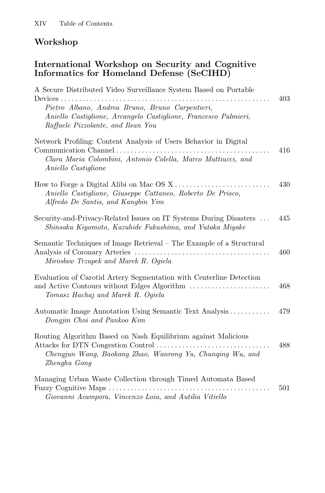## **Workshop**

## **International Workshop on Security and Cognitive Informatics for Homeland Defense (SeCIHD)**

| A Secure Distributed Video Surveillance System Based on Portable<br>Devices.                                                                                                            | 403 |
|-----------------------------------------------------------------------------------------------------------------------------------------------------------------------------------------|-----|
| Pietro Albano, Andrea Bruno, Bruno Carpentieri,<br>Aniello Castiglione, Arcangelo Castiglione, Francesco Palmieri,<br>Raffaele Pizzolante, and Ilsun You                                |     |
| Network Profiling: Content Analysis of Users Behavior in Digital<br>Communication Channel<br>Clara Maria Colombini, Antonio Colella, Marco Mattiucci, and<br><i>Aniello Castiglione</i> | 416 |
| Aniello Castiglione, Giuseppe Cattaneo, Roberto De Prisco,<br>Alfredo De Santis, and Kangbin Yim                                                                                        | 430 |
| Security-and-Privacy-Related Issues on IT Systems During Disasters<br>Shinsaku Kiyomoto, Kazuhide Fukushima, and Yutaka Miyake                                                          | 445 |
| Semantic Techniques of Image Retrieval – The Example of a Structural<br>Mirosław Trzupek and Marek R. Ogiela                                                                            | 460 |
| Evaluation of Carotid Artery Segmentation with Centerline Detection<br>and Active Contours without Edges Algorithm<br>Tomasz Hachaj and Marek R. Ogiela                                 | 468 |
| Automatic Image Annotation Using Semantic Text Analysis<br>Dongjin Choi and Pankoo Kim                                                                                                  | 479 |
| Routing Algorithm Based on Nash Equilibrium against Malicious<br>Chengjun Wang, Baokang Zhao, Wanrong Yu, Chunging Wu, and<br>Zhenghu Gong                                              | 488 |
| Managing Urban Waste Collection through Timed Automata Based<br>Giovanni Acampora, Vincenzo Loia, and Autilia Vitiello                                                                  | 501 |